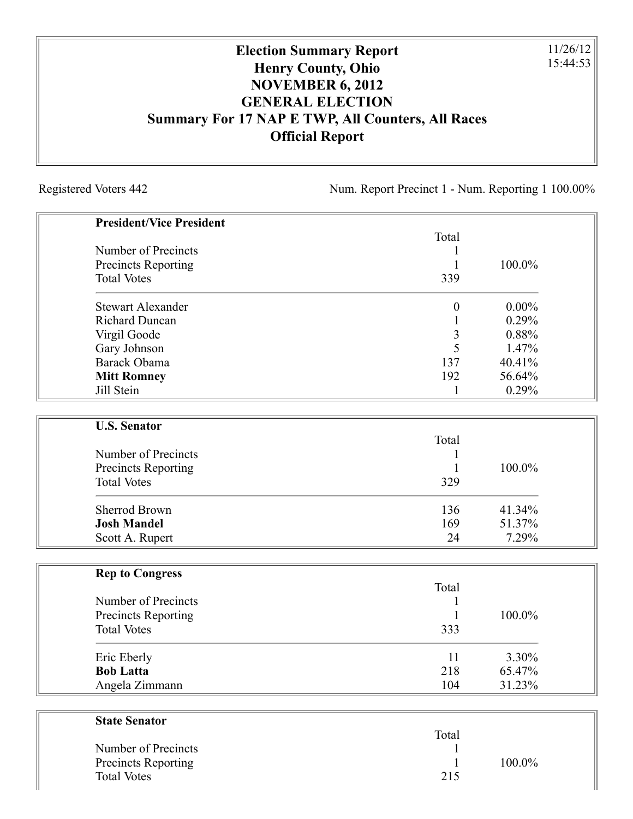## **Election Summary Report Henry County, Ohio NOVEMBER 6, 2012 GENERAL ELECTION Summary For 17 NAP E TWP, All Counters, All Races Official Report**

Registered Voters 442 Num. Report Precinct 1 - Num. Reporting 1 100.00%

11/26/12 15:44:53

| <b>President/Vice President</b> |                  |          |
|---------------------------------|------------------|----------|
|                                 | Total            |          |
| Number of Precincts             | 1                |          |
| Precincts Reporting             | $\mathbf{1}$     | 100.0%   |
| <b>Total Votes</b>              | 339              |          |
| <b>Stewart Alexander</b>        | $\boldsymbol{0}$ | $0.00\%$ |
| <b>Richard Duncan</b>           | $\mathbf{1}$     | 0.29%    |
| Virgil Goode                    | 3                | 0.88%    |
| Gary Johnson                    | 5                | 1.47%    |
| Barack Obama                    | 137              | 40.41%   |
| <b>Mitt Romney</b>              | 192              | 56.64%   |
| Jill Stein                      | $\mathbf{1}$     | 0.29%    |
|                                 |                  |          |
| <b>U.S. Senator</b>             | Total            |          |
| Number of Precincts             | 1                |          |
| <b>Precincts Reporting</b>      | 1                | 100.0%   |
| <b>Total Votes</b>              | 329              |          |
|                                 |                  |          |
| <b>Sherrod Brown</b>            | 136              | 41.34%   |
| <b>Josh Mandel</b>              | 169              | 51.37%   |
| Scott A. Rupert                 | 24               | 7.29%    |
|                                 |                  |          |
| <b>Rep to Congress</b>          |                  |          |
|                                 | Total            |          |
| Number of Precincts             | 1                |          |
| Precincts Reporting             | $\mathbf{1}$     | 100.0%   |
| <b>Total Votes</b>              | 333              |          |
| Eric Eberly                     | 11               | 3.30%    |
| <b>Bob Latta</b>                | 218              | 65.47%   |
| Angela Zimmann                  | 104              | 31.23%   |
|                                 |                  |          |
| <b>State Senator</b>            | Total            |          |
|                                 |                  |          |

| Number of Precincts |     |           |
|---------------------|-----|-----------|
| Precincts Reporting |     | $100.0\%$ |
| <b>Total Votes</b>  | 215 |           |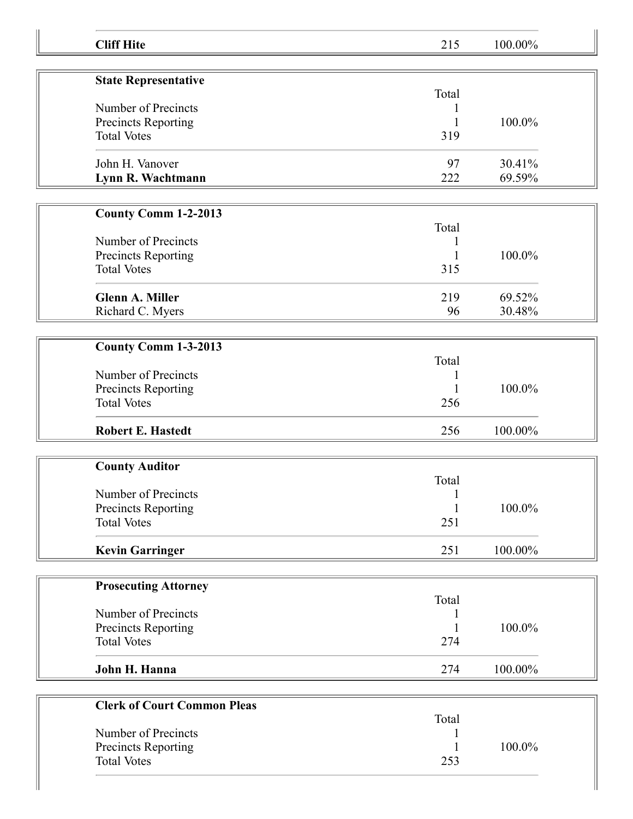| <b>Cliff Hite</b>                  | 215          | 100.00% |  |
|------------------------------------|--------------|---------|--|
|                                    |              |         |  |
| <b>State Representative</b>        | Total        |         |  |
| Number of Precincts                |              |         |  |
| Precincts Reporting                | 1            | 100.0%  |  |
| <b>Total Votes</b>                 | 319          |         |  |
| John H. Vanover                    | 97           | 30.41%  |  |
| Lynn R. Wachtmann                  | 222          | 69.59%  |  |
|                                    |              |         |  |
| <b>County Comm 1-2-2013</b>        | Total        |         |  |
| Number of Precincts                | 1            |         |  |
| Precincts Reporting                |              | 100.0%  |  |
| <b>Total Votes</b>                 | 315          |         |  |
| <b>Glenn A. Miller</b>             | 219          | 69.52%  |  |
| Richard C. Myers                   | 96           | 30.48%  |  |
|                                    |              |         |  |
| County Comm 1-3-2013               |              |         |  |
|                                    | Total        |         |  |
| Number of Precincts                |              |         |  |
| Precincts Reporting                |              | 100.0%  |  |
| <b>Total Votes</b>                 | 256          |         |  |
| <b>Robert E. Hastedt</b>           | 256          | 100.00% |  |
|                                    |              |         |  |
| <b>County Auditor</b>              | Total        |         |  |
| Number of Precincts                | $\mathbf{1}$ |         |  |
| Precincts Reporting                | 1            | 100.0%  |  |
| <b>Total Votes</b>                 | 251          |         |  |
|                                    |              |         |  |
| <b>Kevin Garringer</b>             | 251          | 100.00% |  |
|                                    |              |         |  |
| <b>Prosecuting Attorney</b>        | Total        |         |  |
| Number of Precincts                |              |         |  |
| Precincts Reporting                |              | 100.0%  |  |
| <b>Total Votes</b>                 | 274          |         |  |
|                                    |              |         |  |
| John H. Hanna                      | 274          | 100.00% |  |
|                                    |              |         |  |
| <b>Clerk of Court Common Pleas</b> | Total        |         |  |
| Number of Precincts                |              |         |  |
| Precincts Reporting                |              | 100.0%  |  |
| <b>Total Votes</b>                 | 253          |         |  |
|                                    |              |         |  |
|                                    |              |         |  |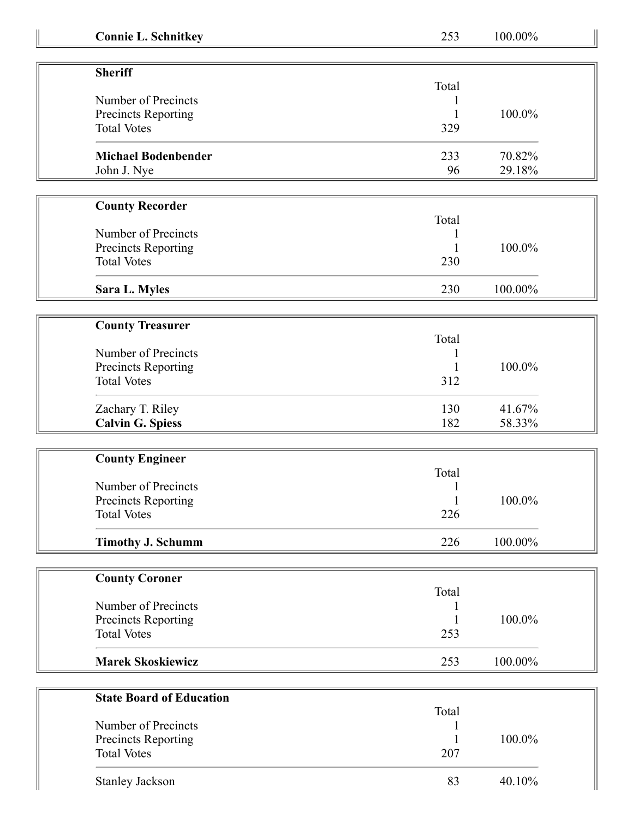| <b>Connie L. Schnitkey</b>                | 253          | 100.00% |  |
|-------------------------------------------|--------------|---------|--|
|                                           |              |         |  |
| <b>Sheriff</b>                            |              |         |  |
|                                           | Total        |         |  |
| Number of Precincts                       |              | 100.0%  |  |
| Precincts Reporting<br><b>Total Votes</b> | 329          |         |  |
|                                           |              |         |  |
| <b>Michael Bodenbender</b>                | 233          | 70.82%  |  |
| John J. Nye                               | 96           | 29.18%  |  |
|                                           |              |         |  |
| <b>County Recorder</b>                    |              |         |  |
|                                           | Total        |         |  |
| Number of Precincts                       |              |         |  |
| Precincts Reporting                       |              | 100.0%  |  |
| <b>Total Votes</b>                        | 230          |         |  |
|                                           |              |         |  |
| <b>Sara L. Myles</b>                      | 230          | 100.00% |  |
|                                           |              |         |  |
| <b>County Treasurer</b>                   |              |         |  |
|                                           | Total        |         |  |
| Number of Precincts                       |              |         |  |
| Precincts Reporting                       |              | 100.0%  |  |
| <b>Total Votes</b>                        | 312          |         |  |
| Zachary T. Riley                          | 130          | 41.67%  |  |
| <b>Calvin G. Spiess</b>                   | 182          | 58.33%  |  |
|                                           |              |         |  |
| <b>County Engineer</b>                    |              |         |  |
|                                           | Total        |         |  |
| Number of Precincts                       | 1            |         |  |
| Precincts Reporting                       | $\mathbf{1}$ | 100.0%  |  |
| <b>Total Votes</b>                        | 226          |         |  |
|                                           |              |         |  |
| <b>Timothy J. Schumm</b>                  | 226          | 100.00% |  |
|                                           |              |         |  |
| <b>County Coroner</b>                     |              |         |  |
|                                           | Total        |         |  |
| Number of Precincts                       |              |         |  |
| Precincts Reporting                       | 1            | 100.0%  |  |
| <b>Total Votes</b>                        | 253          |         |  |
| <b>Marek Skoskiewicz</b>                  | 253          | 100.00% |  |
|                                           |              |         |  |
|                                           |              |         |  |
| <b>State Board of Education</b>           | Total        |         |  |
| Number of Precincts                       |              |         |  |
| Precincts Reporting                       |              | 100.0%  |  |
| <b>Total Votes</b>                        | 207          |         |  |
|                                           |              |         |  |
| <b>Stanley Jackson</b>                    | 83           | 40.10%  |  |
|                                           |              |         |  |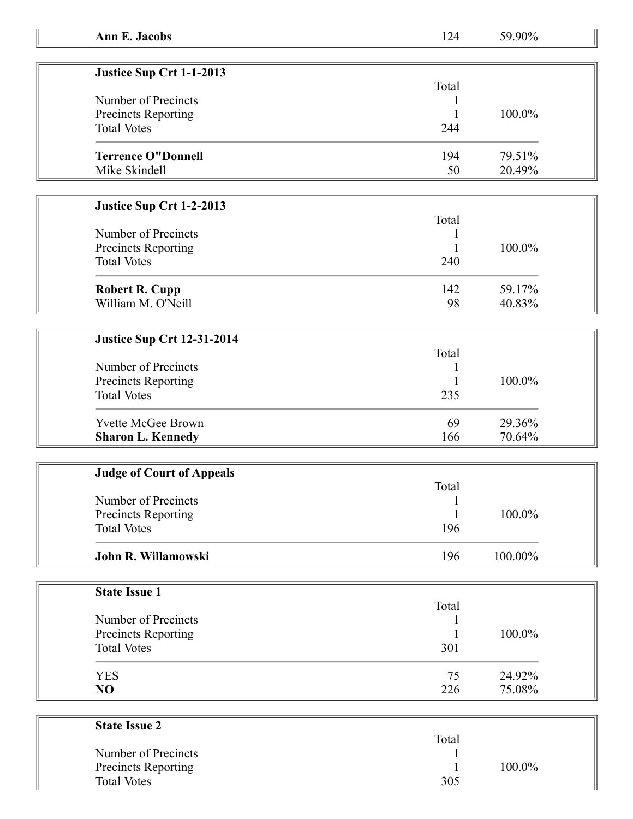| Justice Sup Crt 1-1-2013   |       |           |
|----------------------------|-------|-----------|
|                            | Total |           |
| Number of Precincts        |       |           |
| <b>Precincts Reporting</b> |       | $100.0\%$ |
| <b>Total Votes</b>         | 244   |           |
| <b>Terrence O"Donnell</b>  | 194   | 79.51%    |
| Mike Skindell              | 50    | 20.49%    |

## **Justice Sup Crt 1-2-2013**

|                       | Total |           |
|-----------------------|-------|-----------|
| Number of Precincts   |       |           |
| Precincts Reporting   |       | $100.0\%$ |
| <b>Total Votes</b>    | 240   |           |
| <b>Robert R. Cupp</b> | 142   | 59.17%    |
| William M. O'Neill    | 98    | 40.83%    |

## **Justice Sup Crt 12-31-2014**

| Number of Precincts<br><b>Precincts Reporting</b>                           | Total            | $100.0\%$        |
|-----------------------------------------------------------------------------|------------------|------------------|
| <b>Total Votes</b><br><b>Yvette McGee Brown</b><br><b>Sharon L. Kennedy</b> | 235<br>69<br>166 | 29.36%<br>70.64% |

| <b>Judge of Court of Appeals</b> |       |         |  |
|----------------------------------|-------|---------|--|
|                                  | Total |         |  |
| Number of Precincts              |       |         |  |
| Precincts Reporting              |       | 100.0%  |  |
| <b>Total Votes</b>               | 196   |         |  |
| John R. Willamowski              | 196   | 100.00% |  |

| <b>State Issue 1</b> |       |        |
|----------------------|-------|--------|
|                      | Total |        |
| Number of Precincts  |       |        |
| Precincts Reporting  |       | 100.0% |
| <b>Total Votes</b>   | 301   |        |
| <b>YES</b>           | 75    | 24.92% |
| NO                   | 226   | 75.08% |

| <b>State Issue 2</b>       |       |        |
|----------------------------|-------|--------|
|                            | Total |        |
| Number of Precincts        |       |        |
| <b>Precincts Reporting</b> |       | 100.0% |
| <b>Total Votes</b>         | 305   |        |